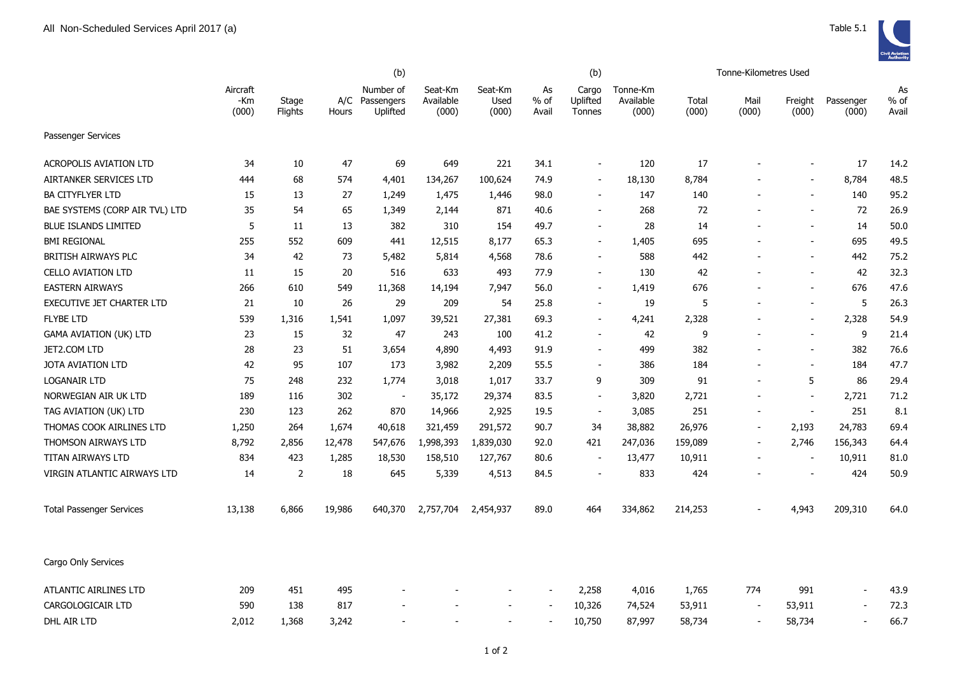|                                  |                          |                  | (b)          |                                     |                               |                          | (b)                 |                             |                                |                | <b>Tonne-Kilometres Used</b> |                          |                    |                       |
|----------------------------------|--------------------------|------------------|--------------|-------------------------------------|-------------------------------|--------------------------|---------------------|-----------------------------|--------------------------------|----------------|------------------------------|--------------------------|--------------------|-----------------------|
|                                  | Aircraft<br>-Km<br>(000) | Stage<br>Flights | A/C<br>Hours | Number of<br>Passengers<br>Uplifted | Seat-Km<br>Available<br>(000) | Seat-Km<br>Used<br>(000) | As<br>% of<br>Avail | Cargo<br>Uplifted<br>Tonnes | Tonne-Km<br>Available<br>(000) | Total<br>(000) | Mail<br>(000)                | Freight<br>(000)         | Passenger<br>(000) | As<br>$%$ of<br>Avail |
| Passenger Services               |                          |                  |              |                                     |                               |                          |                     |                             |                                |                |                              |                          |                    |                       |
| ACROPOLIS AVIATION LTD           | 34                       | 10               | 47           | 69                                  | 649                           | 221                      | 34.1                | $\blacksquare$              | 120                            | 17             |                              | $\blacksquare$           | 17                 | 14.2                  |
| AIRTANKER SERVICES LTD           | 444                      | 68               | 574          | 4,401                               | 134,267                       | 100,624                  | 74.9                | $\overline{\phantom{a}}$    | 18,130                         | 8,784          |                              | $\overline{\phantom{a}}$ | 8,784              | 48.5                  |
| <b>BA CITYFLYER LTD</b>          | 15                       | 13               | 27           | 1,249                               | 1,475                         | 1,446                    | 98.0                | $\overline{\phantom{a}}$    | 147                            | 140            |                              | $\overline{\phantom{a}}$ | 140                | 95.2                  |
| BAE SYSTEMS (CORP AIR TVL) LTD   | 35                       | 54               | 65           | 1,349                               | 2,144                         | 871                      | 40.6                | $\blacksquare$              | 268                            | 72             |                              | $\blacksquare$           | 72                 | 26.9                  |
| <b>BLUE ISLANDS LIMITED</b>      | 5                        | 11               | 13           | 382                                 | 310                           | 154                      | 49.7                | $\blacksquare$              | 28                             | 14             |                              | $\blacksquare$           | 14                 | 50.0                  |
| <b>BMI REGIONAL</b>              | 255                      | 552              | 609          | 441                                 | 12,515                        | 8,177                    | 65.3                | $\blacksquare$              | 1,405                          | 695            |                              | $\blacksquare$           | 695                | 49.5                  |
| <b>BRITISH AIRWAYS PLC</b>       | 34                       | 42               | 73           | 5,482                               | 5,814                         | 4,568                    | 78.6                | $\sim$                      | 588                            | 442            |                              | $\overline{\phantom{a}}$ | 442                | 75.2                  |
| <b>CELLO AVIATION LTD</b>        | 11                       | 15               | 20           | 516                                 | 633                           | 493                      | 77.9                | $\sim$                      | 130                            | 42             |                              | $\sim$                   | 42                 | 32.3                  |
| <b>EASTERN AIRWAYS</b>           | 266                      | 610              | 549          | 11,368                              | 14,194                        | 7,947                    | 56.0                | $\blacksquare$              | 1,419                          | 676            |                              | $\blacksquare$           | 676                | 47.6                  |
| <b>EXECUTIVE JET CHARTER LTD</b> | 21                       | 10               | 26           | 29                                  | 209                           | 54                       | 25.8                | $\overline{\phantom{a}}$    | 19                             | 5              |                              | $\overline{\phantom{a}}$ | 5                  | 26.3                  |
| <b>FLYBE LTD</b>                 | 539                      | 1,316            | 1,541        | 1,097                               | 39,521                        | 27,381                   | 69.3                | $\blacksquare$              | 4,241                          | 2,328          |                              | $\blacksquare$           | 2,328              | 54.9                  |
| <b>GAMA AVIATION (UK) LTD</b>    | 23                       | 15               | 32           | 47                                  | 243                           | 100                      | 41.2                | $\overline{\phantom{a}}$    | 42                             | 9              |                              | $\sim$                   | 9                  | 21.4                  |
| JET2.COM LTD                     | 28                       | 23               | 51           | 3,654                               | 4,890                         | 4,493                    | 91.9                | $\overline{\phantom{a}}$    | 499                            | 382            |                              | $\overline{\phantom{a}}$ | 382                | 76.6                  |
| JOTA AVIATION LTD                | 42                       | 95               | 107          | 173                                 | 3,982                         | 2,209                    | 55.5                | $\blacksquare$              | 386                            | 184            |                              | $\blacksquare$           | 184                | 47.7                  |
| LOGANAIR LTD                     | 75                       | 248              | 232          | 1,774                               | 3,018                         | 1,017                    | 33.7                | 9                           | 309                            | 91             |                              | 5                        | 86                 | 29.4                  |
| NORWEGIAN AIR UK LTD             | 189                      | 116              | 302          | $\overline{\phantom{a}}$            | 35,172                        | 29,374                   | 83.5                | $\overline{\phantom{a}}$    | 3,820                          | 2,721          | $\overline{\phantom{a}}$     | $\blacksquare$           | 2,721              | 71.2                  |
| TAG AVIATION (UK) LTD            | 230                      | 123              | 262          | 870                                 | 14,966                        | 2,925                    | 19.5                | $\blacksquare$              | 3,085                          | 251            | $\overline{\phantom{a}}$     | $\sim$                   | 251                | 8.1                   |
| THOMAS COOK AIRLINES LTD         | 1,250                    | 264              | 1,674        | 40,618                              | 321,459                       | 291,572                  | 90.7                | 34                          | 38,882                         | 26,976         | $\overline{\phantom{a}}$     | 2,193                    | 24,783             | 69.4                  |
| THOMSON AIRWAYS LTD              | 8,792                    | 2,856            | 12,478       | 547,676                             | 1,998,393                     | 1,839,030                | 92.0                | 421                         | 247,036                        | 159,089        | $\overline{\phantom{a}}$     | 2,746                    | 156,343            | 64.4                  |
| TITAN AIRWAYS LTD                | 834                      | 423              | 1,285        | 18,530                              | 158,510                       | 127,767                  | 80.6                |                             | 13,477                         | 10,911         |                              |                          | 10,911             | 81.0                  |
| VIRGIN ATLANTIC AIRWAYS LTD      | 14                       | 2                | 18           | 645                                 | 5,339                         | 4,513                    | 84.5                |                             | 833                            | 424            |                              |                          | 424                | 50.9                  |
| <b>Total Passenger Services</b>  | 13,138                   | 6,866            | 19,986       | 640,370                             | 2,757,704                     | 2,454,937                | 89.0                | 464                         | 334,862                        | 214,253        |                              | 4,943                    | 209,310            | 64.0                  |
| Cargo Only Services              |                          |                  |              |                                     |                               |                          |                     |                             |                                |                |                              |                          |                    |                       |
| <b>ATLANTIC AIRLINES LTD</b>     | 209                      | 451              | 495          |                                     |                               |                          |                     | 2,258                       | 4,016                          | 1,765          | 774                          | 991                      | $\sim$             | 43.9                  |
| CARGOLOGICAIR LTD                | 590                      | 138              | 817          |                                     |                               |                          |                     | 10,326                      | 74,524                         | 53,911         |                              | 53,911                   |                    | 72.3                  |
| DHL AIR LTD                      | 2,012                    | 1,368            | 3,242        |                                     |                               |                          |                     | 10,750                      | 87,997                         | 58,734         |                              | 58,734                   |                    | 66.7                  |